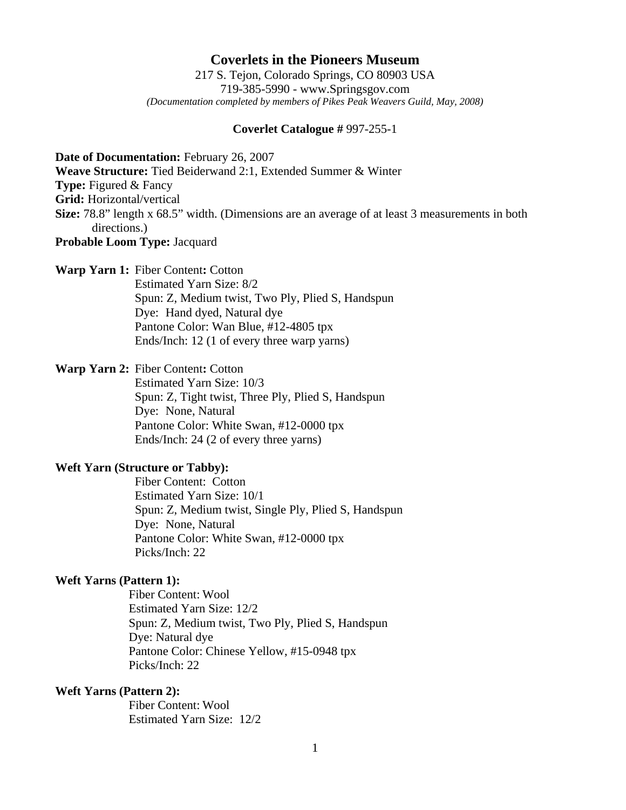# **Coverlets in the Pioneers Museum**

217 S. Tejon, Colorado Springs, CO 80903 USA 719-385-5990 - www.Springsgov.com *(Documentation completed by members of Pikes Peak Weavers Guild, May, 2008)* 

#### **Coverlet Catalogue #** 997-255-1

**Date of Documentation:** February 26, 2007

**Weave Structure:** Tied Beiderwand 2:1, Extended Summer & Winter

**Type:** Figured & Fancy

**Grid:** Horizontal/vertical

- **Size:** 78.8" length x 68.5" width. (Dimensions are an average of at least 3 measurements in both directions.)
- **Probable Loom Type:** Jacquard

#### **Warp Yarn 1:** Fiber Content**:** Cotton

 Estimated Yarn Size: 8/2 Spun: Z, Medium twist, Two Ply, Plied S, Handspun Dye: Hand dyed, Natural dye Pantone Color: Wan Blue, #12-4805 tpx Ends/Inch: 12 (1 of every three warp yarns)

## **Warp Yarn 2:** Fiber Content**:** Cotton

 Estimated Yarn Size: 10/3 Spun: Z, Tight twist, Three Ply, Plied S, Handspun Dye: None, Natural Pantone Color: White Swan, #12-0000 tpx Ends/Inch: 24 (2 of every three yarns)

## **Weft Yarn (Structure or Tabby):**

 Fiber Content: Cotton Estimated Yarn Size: 10/1 Spun: Z, Medium twist, Single Ply, Plied S, Handspun Dye: None, Natural Pantone Color: White Swan, #12-0000 tpx Picks/Inch: 22

### **Weft Yarns (Pattern 1):**

 Fiber Content: Wool Estimated Yarn Size: 12/2 Spun: Z, Medium twist, Two Ply, Plied S, Handspun Dye: Natural dye Pantone Color: Chinese Yellow, #15-0948 tpx Picks/Inch: 22

### **Weft Yarns (Pattern 2):**

 Fiber Content: Wool Estimated Yarn Size: 12/2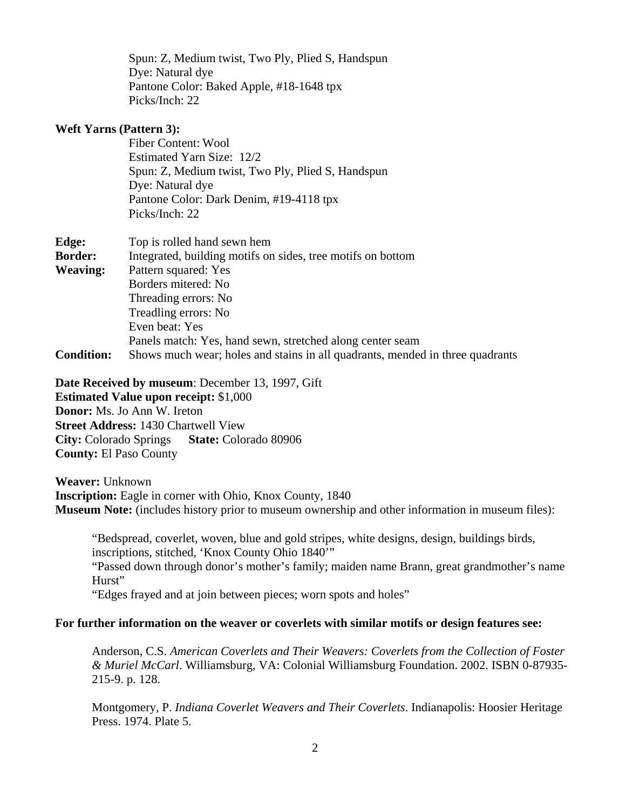Spun: Z, Medium twist, Two Ply, Plied S, Handspun Dye: Natural dye Pantone Color: Baked Apple, #18-1648 tpx Picks/Inch: 22

### **Weft Yarns (Pattern 3):**

 Fiber Content: Wool Estimated Yarn Size: 12/2 Spun: Z, Medium twist, Two Ply, Plied S, Handspun Dye: Natural dye Pantone Color: Dark Denim, #19-4118 tpx Picks/Inch: 22

| Edge:             | Top is rolled hand sewn hem                                                   |
|-------------------|-------------------------------------------------------------------------------|
| <b>Border:</b>    | Integrated, building motifs on sides, tree motifs on bottom                   |
| <b>Weaving:</b>   | Pattern squared: Yes                                                          |
|                   | Borders mitered: No                                                           |
|                   | Threading errors: No                                                          |
|                   | Treadling errors: No                                                          |
|                   | Even beat: Yes                                                                |
|                   | Panels match: Yes, hand sewn, stretched along center seam                     |
| <b>Condition:</b> | Shows much wear; holes and stains in all quadrants, mended in three quadrants |

**Date Received by museum**: December 13, 1997, Gift

**Estimated Value upon receipt:** \$1,000 **Donor:** Ms. Jo Ann W. Ireton **Street Address:** 1430 Chartwell View **City:** Colorado Springs **State:** Colorado 80906 **County:** El Paso County

**Weaver:** Unknown **Inscription:** Eagle in corner with Ohio, Knox County, 1840 **Museum Note:** (includes history prior to museum ownership and other information in museum files):

 "Bedspread, coverlet, woven, blue and gold stripes, white designs, design, buildings birds, inscriptions, stitched, 'Knox County Ohio 1840'"

 "Passed down through donor's mother's family; maiden name Brann, great grandmother's name Hurst"

"Edges frayed and at join between pieces; worn spots and holes"

### **For further information on the weaver or coverlets with similar motifs or design features see:**

 Anderson, C.S. *American Coverlets and Their Weavers: Coverlets from the Collection of Foster & Muriel McCarl*. Williamsburg, VA: Colonial Williamsburg Foundation. 2002. ISBN 0-87935- 215-9. p. 128.

 Montgomery, P. *Indiana Coverlet Weavers and Their Coverlets*. Indianapolis: Hoosier Heritage Press. 1974. Plate 5.